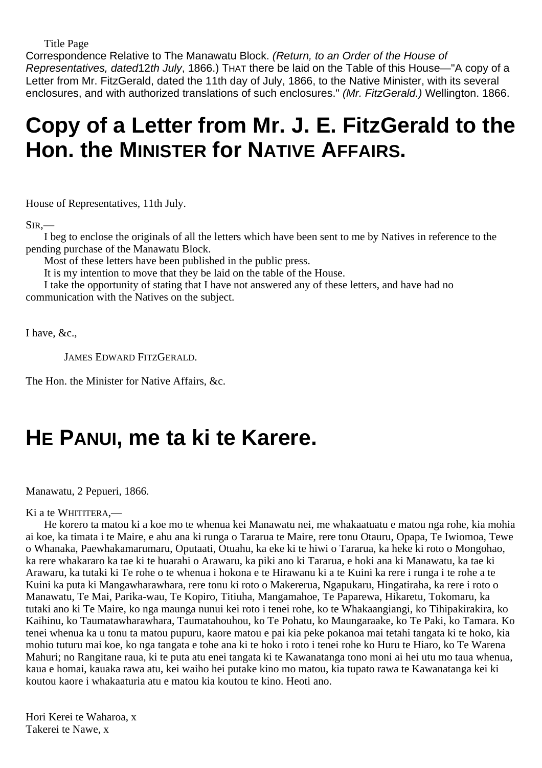Title Page

Correspondence Relative to The Manawatu Block. (Return, to an Order of the House of Representatives, dated12th July, 1866.) THAT there be laid on the Table of this House—"A copy of a Letter from Mr. FitzGerald, dated the 11th day of July, 1866, to the Native Minister, with its several enclosures, and with authorized translations of such enclosures." (Mr. FitzGerald.) Wellington. 1866.

## **Copy of a Letter from Mr. J. E. FitzGerald to the Hon. the MINISTER for NATIVE AFFAIRS.**

House of Representatives, 11th July.

 $SIR$ , $-$ 

I beg to enclose the originals of all the letters which have been sent to me by Natives in reference to the pending purchase of the Manawatu Block.

Most of these letters have been published in the public press.

It is my intention to move that they be laid on the table of the House.

I take the opportunity of stating that I have not answered any of these letters, and have had no communication with the Natives on the subject.

I have, &c.,

JAMES EDWARD FITZGERALD.

The Hon. the Minister for Native Affairs, &c.

### **HE PANUI, me ta ki te Karere.**

Manawatu, 2 Pepueri, 1866.

#### Ki a te WHITITERA,—

He korero ta matou ki a koe mo te whenua kei Manawatu nei, me whakaatuatu e matou nga rohe, kia mohia ai koe, ka timata i te Maire, e ahu ana ki runga o Tararua te Maire, rere tonu Otauru, Opapa, Te Iwiomoa, Tewe o Whanaka, Paewhakamarumaru, Oputaati, Otuahu, ka eke ki te hiwi o Tararua, ka heke ki roto o Mongohao, ka rere whakararo ka tae ki te huarahi o Arawaru, ka piki ano ki Tararua, e hoki ana ki Manawatu, ka tae ki Arawaru, ka tutaki ki Te rohe o te whenua i hokona e te Hirawanu ki a te Kuini ka rere i runga i te rohe a te Kuini ka puta ki Mangawharawhara, rere tonu ki roto o Makererua, Ngapukaru, Hingatiraha, ka rere i roto o Manawatu, Te Mai, Parika-wau, Te Kopiro, Titiuha, Mangamahoe, Te Paparewa, Hikaretu, Tokomaru, ka tutaki ano ki Te Maire, ko nga maunga nunui kei roto i tenei rohe, ko te Whakaangiangi, ko Tihipakirakira, ko Kaihinu, ko Taumatawharawhara, Taumatahouhou, ko Te Pohatu, ko Maungaraake, ko Te Paki, ko Tamara. Ko tenei whenua ka u tonu ta matou pupuru, kaore matou e pai kia peke pokanoa mai tetahi tangata ki te hoko, kia mohio tuturu mai koe, ko nga tangata e tohe ana ki te hoko i roto i tenei rohe ko Huru te Hiaro, ko Te Warena Mahuri; no Rangitane raua, ki te puta atu enei tangata ki te Kawanatanga tono moni ai hei utu mo taua whenua, kaua e homai, kauaka rawa atu, kei waiho hei putake kino mo matou, kia tupato rawa te Kawanatanga kei ki koutou kaore i whakaaturia atu e matou kia koutou te kino. Heoti ano.

Hori Kerei te Waharoa, x Takerei te Nawe, x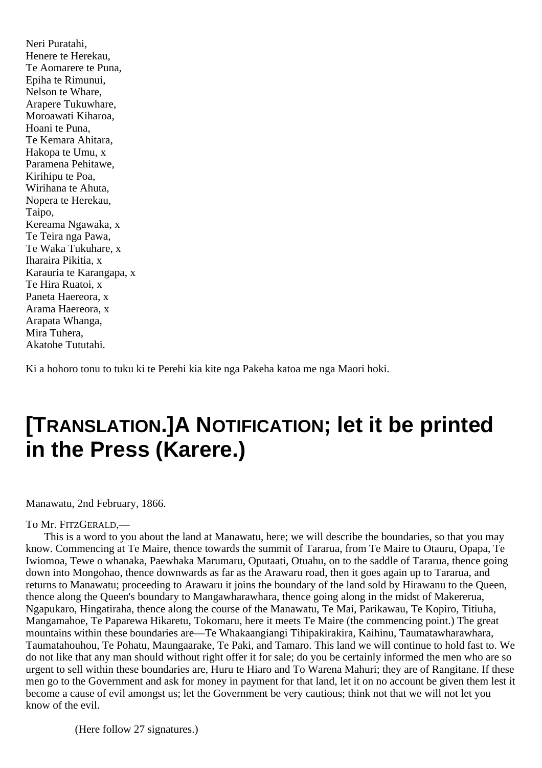Neri Puratahi, Henere te Herekau, Te Aomarere te Puna, Epiha te Rimunui, Nelson te Whare, Arapere Tukuwhare, Moroawati Kiharoa, Hoani te Puna, Te Kemara Ahitara, Hakopa te Umu, x Paramena Pehitawe, Kirihipu te Poa, Wirihana te Ahuta, Nopera te Herekau, Taipo, Kereama Ngawaka, x Te Teira nga Pawa, Te Waka Tukuhare, x Iharaira Pikitia, x Karauria te Karangapa, x Te Hira Ruatoi, x Paneta Haereora, x Arama Haereora, x Arapata Whanga, Mira Tuhera, Akatohe Tututahi.

Ki a hohoro tonu to tuku ki te Perehi kia kite nga Pakeha katoa me nga Maori hoki.

### **[TRANSLATION.]A NOTIFICATION; let it be printed in the Press (Karere.)**

Manawatu, 2nd February, 1866.

### To Mr. FITZGERALD,—

This is a word to you about the land at Manawatu, here; we will describe the boundaries, so that you may know. Commencing at Te Maire, thence towards the summit of Tararua, from Te Maire to Otauru, Opapa, Te Iwiomoa, Tewe o whanaka, Paewhaka Marumaru, Oputaati, Otuahu, on to the saddle of Tararua, thence going down into Mongohao, thence downwards as far as the Arawaru road, then it goes again up to Tararua, and returns to Manawatu; proceeding to Arawaru it joins the boundary of the land sold by Hirawanu to the Queen, thence along the Queen's boundary to Mangawharawhara, thence going along in the midst of Makererua, Ngapukaro, Hingatiraha, thence along the course of the Manawatu, Te Mai, Parikawau, Te Kopiro, Titiuha, Mangamahoe, Te Paparewa Hikaretu, Tokomaru, here it meets Te Maire (the commencing point.) The great mountains within these boundaries are—Te Whakaangiangi Tihipakirakira, Kaihinu, Taumatawharawhara, Taumatahouhou, Te Pohatu, Maungaarake, Te Paki, and Tamaro. This land we will continue to hold fast to. We do not like that any man should without right offer it for sale; do you be certainly informed the men who are so urgent to sell within these boundaries are, Huru te Hiaro and To Warena Mahuri; they are of Rangitane. If these men go to the Government and ask for money in payment for that land, let it on no account be given them lest it become a cause of evil amongst us; let the Government be very cautious; think not that we will not let you know of the evil.

(Here follow 27 signatures.)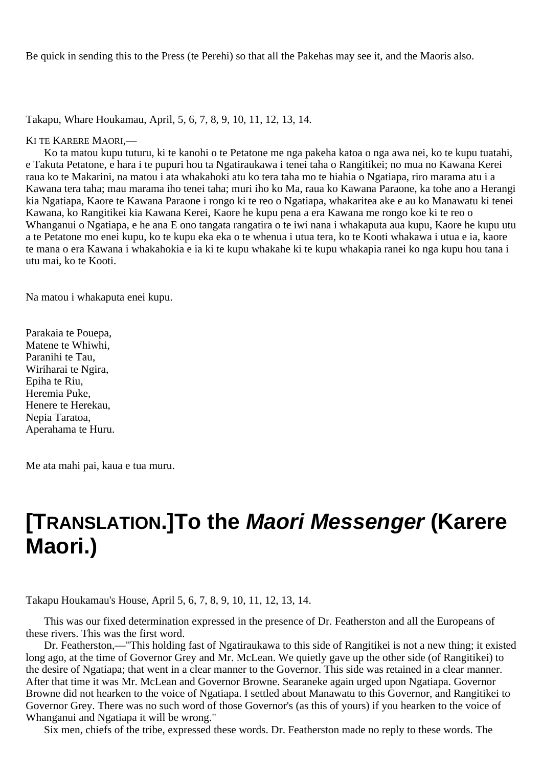Be quick in sending this to the Press (te Perehi) so that all the Pakehas may see it, and the Maoris also.

Takapu, Whare Houkamau, April, 5, 6, 7, 8, 9, 10, 11, 12, 13, 14.

KI TE KARERE MAORI,—

Ko ta matou kupu tuturu, ki te kanohi o te Petatone me nga pakeha katoa o nga awa nei, ko te kupu tuatahi, e Takuta Petatone, e hara i te pupuri hou ta Ngatiraukawa i tenei taha o Rangitikei; no mua no Kawana Kerei raua ko te Makarini, na matou i ata whakahoki atu ko tera taha mo te hiahia o Ngatiapa, riro marama atu i a Kawana tera taha; mau marama iho tenei taha; muri iho ko Ma, raua ko Kawana Paraone, ka tohe ano a Herangi kia Ngatiapa, Kaore te Kawana Paraone i rongo ki te reo o Ngatiapa, whakaritea ake e au ko Manawatu ki tenei Kawana, ko Rangitikei kia Kawana Kerei, Kaore he kupu pena a era Kawana me rongo koe ki te reo o Whanganui o Ngatiapa, e he ana E ono tangata rangatira o te iwi nana i whakaputa aua kupu, Kaore he kupu utu a te Petatone mo enei kupu, ko te kupu eka eka o te whenua i utua tera, ko te Kooti whakawa i utua e ia, kaore te mana o era Kawana i whakahokia e ia ki te kupu whakahe ki te kupu whakapia ranei ko nga kupu hou tana i utu mai, ko te Kooti.

Na matou i whakaputa enei kupu.

Parakaia te Pouepa, Matene te Whiwhi, Paranihi te Tau, Wiriharai te Ngira, Epiha te Riu, Heremia Puke, Henere te Herekau, Nepia Taratoa, Aperahama te Huru.

Me ata mahi pai, kaua e tua muru.

## **[TRANSLATION.]To the Maori Messenger (Karere Maori.)**

Takapu Houkamau's House, April 5, 6, 7, 8, 9, 10, 11, 12, 13, 14.

This was our fixed determination expressed in the presence of Dr. Featherston and all the Europeans of these rivers. This was the first word.

Dr. Featherston,—"This holding fast of Ngatiraukawa to this side of Rangitikei is not a new thing; it existed long ago, at the time of Governor Grey and Mr. McLean. We quietly gave up the other side (of Rangitikei) to the desire of Ngatiapa; that went in a clear manner to the Governor. This side was retained in a clear manner. After that time it was Mr. McLean and Governor Browne. Searaneke again urged upon Ngatiapa. Governor Browne did not hearken to the voice of Ngatiapa. I settled about Manawatu to this Governor, and Rangitikei to Governor Grey. There was no such word of those Governor's (as this of yours) if you hearken to the voice of Whanganui and Ngatiapa it will be wrong."

Six men, chiefs of the tribe, expressed these words. Dr. Featherston made no reply to these words. The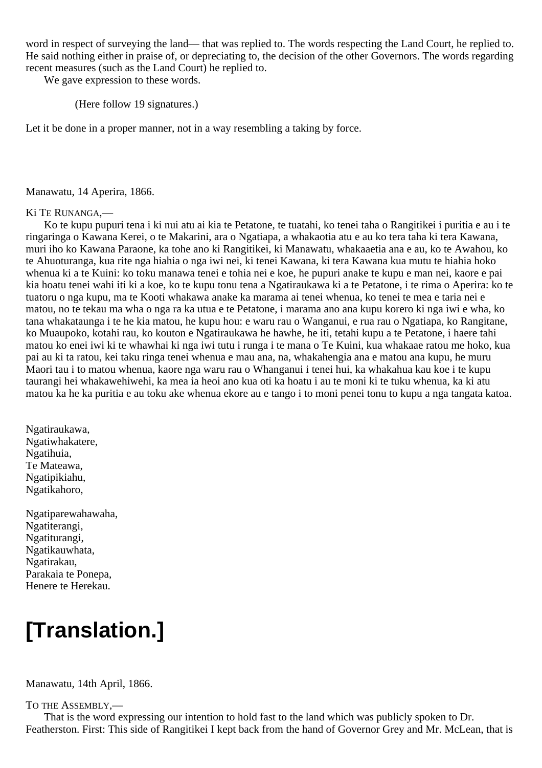word in respect of surveying the land— that was replied to. The words respecting the Land Court, he replied to. He said nothing either in praise of, or depreciating to, the decision of the other Governors. The words regarding recent measures (such as the Land Court) he replied to.

We gave expression to these words.

(Here follow 19 signatures.)

Let it be done in a proper manner, not in a way resembling a taking by force.

#### Manawatu, 14 Aperira, 1866.

#### Ki TE RUNANGA,—

Ko te kupu pupuri tena i ki nui atu ai kia te Petatone, te tuatahi, ko tenei taha o Rangitikei i puritia e au i te ringaringa o Kawana Kerei, o te Makarini, ara o Ngatiapa, a whakaotia atu e au ko tera taha ki tera Kawana, muri iho ko Kawana Paraone, ka tohe ano ki Rangitikei, ki Manawatu, whakaaetia ana e au, ko te Awahou, ko te Ahuoturanga, kua rite nga hiahia o nga iwi nei, ki tenei Kawana, ki tera Kawana kua mutu te hiahia hoko whenua ki a te Kuini: ko toku manawa tenei e tohia nei e koe, he pupuri anake te kupu e man nei, kaore e pai kia hoatu tenei wahi iti ki a koe, ko te kupu tonu tena a Ngatiraukawa ki a te Petatone, i te rima o Aperira: ko te tuatoru o nga kupu, ma te Kooti whakawa anake ka marama ai tenei whenua, ko tenei te mea e taria nei e matou, no te tekau ma wha o nga ra ka utua e te Petatone, i marama ano ana kupu korero ki nga iwi e wha, ko tana whakataunga i te he kia matou, he kupu hou: e waru rau o Wanganui, e rua rau o Ngatiapa, ko Rangitane, ko Muaupoko, kotahi rau, ko kouton e Ngatiraukawa he hawhe, he iti, tetahi kupu a te Petatone, i haere tahi matou ko enei iwi ki te whawhai ki nga iwi tutu i runga i te mana o Te Kuini, kua whakaae ratou me hoko, kua pai au ki ta ratou, kei taku ringa tenei whenua e mau ana, na, whakahengia ana e matou ana kupu, he muru Maori tau i to matou whenua, kaore nga waru rau o Whanganui i tenei hui, ka whakahua kau koe i te kupu taurangi hei whakawehiwehi, ka mea ia heoi ano kua oti ka hoatu i au te moni ki te tuku whenua, ka ki atu matou ka he ka puritia e au toku ake whenua ekore au e tango i to moni penei tonu to kupu a nga tangata katoa.

Ngatiraukawa, Ngatiwhakatere, Ngatihuia, Te Mateawa, Ngatipikiahu, Ngatikahoro,

Ngatiparewahawaha, Ngatiterangi, Ngatiturangi, Ngatikauwhata, Ngatirakau, Parakaia te Ponepa, Henere te Herekau.

## **[Translation.]**

Manawatu, 14th April, 1866.

TO THE ASSEMBLY,—

That is the word expressing our intention to hold fast to the land which was publicly spoken to Dr. Featherston. First: This side of Rangitikei I kept back from the hand of Governor Grey and Mr. McLean, that is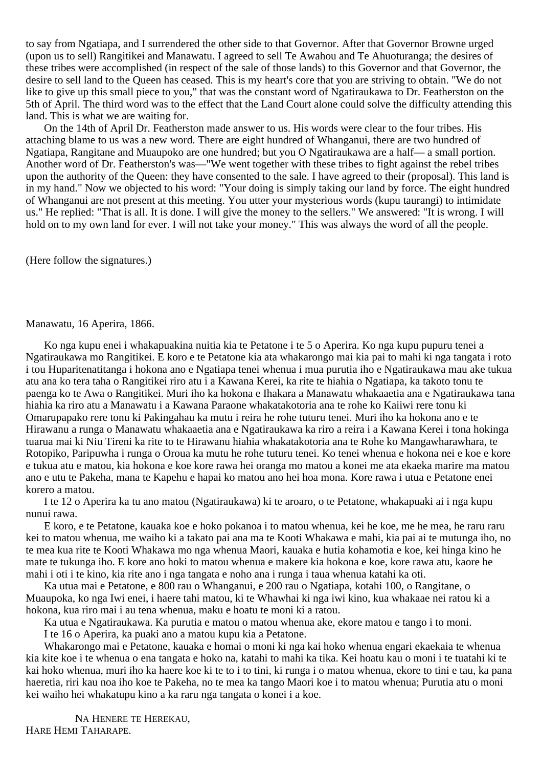to say from Ngatiapa, and I surrendered the other side to that Governor. After that Governor Browne urged (upon us to sell) Rangitikei and Manawatu. I agreed to sell Te Awahou and Te Ahuoturanga; the desires of these tribes were accomplished (in respect of the sale of those lands) to this Governor and that Governor, the desire to sell land to the Queen has ceased. This is my heart's core that you are striving to obtain. "We do not like to give up this small piece to you," that was the constant word of Ngatiraukawa to Dr. Featherston on the 5th of April. The third word was to the effect that the Land Court alone could solve the difficulty attending this land. This is what we are waiting for.

On the 14th of April Dr. Featherston made answer to us. His words were clear to the four tribes. His attaching blame to us was a new word. There are eight hundred of Whanganui, there are two hundred of Ngatiapa, Rangitane and Muaupoko are one hundred; but you O Ngatiraukawa are a half— a small portion. Another word of Dr. Featherston's was—"We went together with these tribes to fight against the rebel tribes upon the authority of the Queen: they have consented to the sale. I have agreed to their (proposal). This land is in my hand." Now we objected to his word: "Your doing is simply taking our land by force. The eight hundred of Whanganui are not present at this meeting. You utter your mysterious words (kupu taurangi) to intimidate us." He replied: "That is all. It is done. I will give the money to the sellers." We answered: "It is wrong. I will hold on to my own land for ever. I will not take your money." This was always the word of all the people.

(Here follow the signatures.)

### Manawatu, 16 Aperira, 1866.

Ko nga kupu enei i whakapuakina nuitia kia te Petatone i te 5 o Aperira. Ko nga kupu pupuru tenei a Ngatiraukawa mo Rangitikei. E koro e te Petatone kia ata whakarongo mai kia pai to mahi ki nga tangata i roto i tou Huparitenatitanga i hokona ano e Ngatiapa tenei whenua i mua purutia iho e Ngatiraukawa mau ake tukua atu ana ko tera taha o Rangitikei riro atu i a Kawana Kerei, ka rite te hiahia o Ngatiapa, ka takoto tonu te paenga ko te Awa o Rangitikei. Muri iho ka hokona e Ihakara a Manawatu whakaaetia ana e Ngatiraukawa tana hiahia ka riro atu a Manawatu i a Kawana Paraone whakatakotoria ana te rohe ko Kaiiwi rere tonu ki Omarupapako rere tonu ki Pakingahau ka mutu i reira he rohe tuturu tenei. Muri iho ka hokona ano e te Hirawanu a runga o Manawatu whakaaetia ana e Ngatiraukawa ka riro a reira i a Kawana Kerei i tona hokinga tuarua mai ki Niu Tireni ka rite to te Hirawanu hiahia whakatakotoria ana te Rohe ko Mangawharawhara, te Rotopiko, Paripuwha i runga o Oroua ka mutu he rohe tuturu tenei. Ko tenei whenua e hokona nei e koe e kore e tukua atu e matou, kia hokona e koe kore rawa hei oranga mo matou a konei me ata ekaeka marire ma matou ano e utu te Pakeha, mana te Kapehu e hapai ko matou ano hei hoa mona. Kore rawa i utua e Petatone enei korero a matou.

I te 12 o Aperira ka tu ano matou (Ngatiraukawa) ki te aroaro, o te Petatone, whakapuaki ai i nga kupu nunui rawa.

E koro, e te Petatone, kauaka koe e hoko pokanoa i to matou whenua, kei he koe, me he mea, he raru raru kei to matou whenua, me waiho ki a takato pai ana ma te Kooti Whakawa e mahi, kia pai ai te mutunga iho, no te mea kua rite te Kooti Whakawa mo nga whenua Maori, kauaka e hutia kohamotia e koe, kei hinga kino he mate te tukunga iho. E kore ano hoki to matou whenua e makere kia hokona e koe, kore rawa atu, kaore he mahi i oti i te kino, kia rite ano i nga tangata e noho ana i runga i taua whenua katahi ka oti.

Ka utua mai e Petatone, e 800 rau o Whanganui, e 200 rau o Ngatiapa, kotahi 100, o Rangitane, o Muaupoka, ko nga Iwi enei, i haere tahi matou, ki te Whawhai ki nga iwi kino, kua whakaae nei ratou ki a hokona, kua riro mai i au tena whenua, maku e hoatu te moni ki a ratou.

Ka utua e Ngatiraukawa. Ka purutia e matou o matou whenua ake, ekore matou e tango i to moni.

I te 16 o Aperira, ka puaki ano a matou kupu kia a Petatone.

Whakarongo mai e Petatone, kauaka e homai o moni ki nga kai hoko whenua engari ekaekaia te whenua kia kite koe i te whenua o ena tangata e hoko na, katahi to mahi ka tika. Kei hoatu kau o moni i te tuatahi ki te kai hoko whenua, muri iho ka haere koe ki te to i to tini, ki runga i o matou whenua, ekore to tini e tau, ka pana haeretia, riri kau noa iho koe te Pakeha, no te mea ka tango Maori koe i to matou whenua; Purutia atu o moni kei waiho hei whakatupu kino a ka raru nga tangata o konei i a koe.

NA HENERE TE HEREKAU, HARE HEMI TAHARAPE.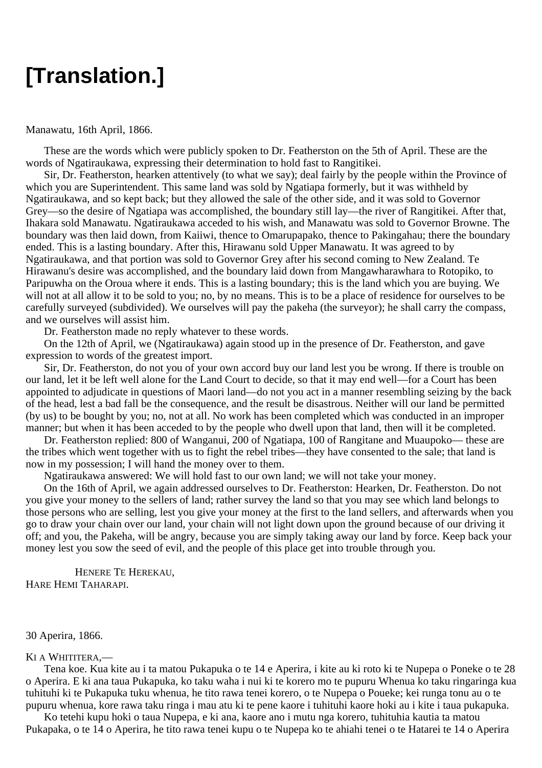## **[Translation.]**

#### Manawatu, 16th April, 1866.

These are the words which were publicly spoken to Dr. Featherston on the 5th of April. These are the words of Ngatiraukawa, expressing their determination to hold fast to Rangitikei.

Sir, Dr. Featherston, hearken attentively (to what we say); deal fairly by the people within the Province of which you are Superintendent. This same land was sold by Ngatiapa formerly, but it was withheld by Ngatiraukawa, and so kept back; but they allowed the sale of the other side, and it was sold to Governor Grey—so the desire of Ngatiapa was accomplished, the boundary still lay—the river of Rangitikei. After that, Ihakara sold Manawatu. Ngatiraukawa acceded to his wish, and Manawatu was sold to Governor Browne. The boundary was then laid down, from Kaiiwi, thence to Omarupapako, thence to Pakingahau; there the boundary ended. This is a lasting boundary. After this, Hirawanu sold Upper Manawatu. It was agreed to by Ngatiraukawa, and that portion was sold to Governor Grey after his second coming to New Zealand. Te Hirawanu's desire was accomplished, and the boundary laid down from Mangawharawhara to Rotopiko, to Paripuwha on the Oroua where it ends. This is a lasting boundary; this is the land which you are buying. We will not at all allow it to be sold to you; no, by no means. This is to be a place of residence for ourselves to be carefully surveyed (subdivided). We ourselves will pay the pakeha (the surveyor); he shall carry the compass, and we ourselves will assist him.

Dr. Featherston made no reply whatever to these words.

On the 12th of April, we (Ngatiraukawa) again stood up in the presence of Dr. Featherston, and gave expression to words of the greatest import.

Sir, Dr. Featherston, do not you of your own accord buy our land lest you be wrong. If there is trouble on our land, let it be left well alone for the Land Court to decide, so that it may end well—for a Court has been appointed to adjudicate in questions of Maori land—do not you act in a manner resembling seizing by the back of the head, lest a bad fall be the consequence, and the result be disastrous. Neither will our land be permitted (by us) to be bought by you; no, not at all. No work has been completed which was conducted in an improper manner; but when it has been acceded to by the people who dwell upon that land, then will it be completed.

Dr. Featherston replied: 800 of Wanganui, 200 of Ngatiapa, 100 of Rangitane and Muaupoko— these are the tribes which went together with us to fight the rebel tribes—they have consented to the sale; that land is now in my possession; I will hand the money over to them.

Ngatiraukawa answered: We will hold fast to our own land; we will not take your money.

On the 16th of April, we again addressed ourselves to Dr. Featherston: Hearken, Dr. Featherston. Do not you give your money to the sellers of land; rather survey the land so that you may see which land belongs to those persons who are selling, lest you give your money at the first to the land sellers, and afterwards when you go to draw your chain over our land, your chain will not light down upon the ground because of our driving it off; and you, the Pakeha, will be angry, because you are simply taking away our land by force. Keep back your money lest you sow the seed of evil, and the people of this place get into trouble through you.

HENERE TE HEREKAU, HARE HEMI TAHARAPI.

30 Aperira, 1866.

#### KI A WHITITERA,—

Tena koe. Kua kite au i ta matou Pukapuka o te 14 e Aperira, i kite au ki roto ki te Nupepa o Poneke o te 28 o Aperira. E ki ana taua Pukapuka, ko taku waha i nui ki te korero mo te pupuru Whenua ko taku ringaringa kua tuhituhi ki te Pukapuka tuku whenua, he tito rawa tenei korero, o te Nupepa o Poueke; kei runga tonu au o te pupuru whenua, kore rawa taku ringa i mau atu ki te pene kaore i tuhituhi kaore hoki au i kite i taua pukapuka.

Ko tetehi kupu hoki o taua Nupepa, e ki ana, kaore ano i mutu nga korero, tuhituhia kautia ta matou Pukapaka, o te 14 o Aperira, he tito rawa tenei kupu o te Nupepa ko te ahiahi tenei o te Hatarei te 14 o Aperira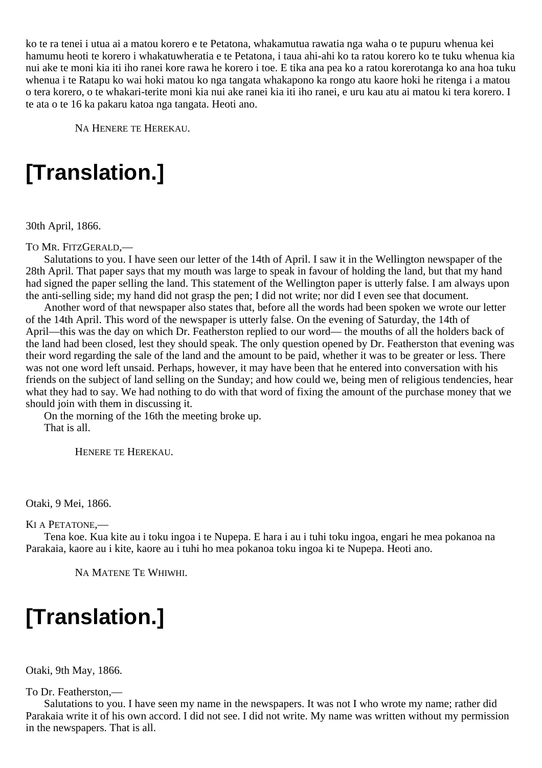ko te ra tenei i utua ai a matou korero e te Petatona, whakamutua rawatia nga waha o te pupuru whenua kei hamumu heoti te korero i whakatuwheratia e te Petatona, i taua ahi-ahi ko ta ratou korero ko te tuku whenua kia nui ake te moni kia iti iho ranei kore rawa he korero i toe. E tika ana pea ko a ratou korerotanga ko ana hoa tuku whenua i te Ratapu ko wai hoki matou ko nga tangata whakapono ka rongo atu kaore hoki he ritenga i a matou o tera korero, o te whakari-terite moni kia nui ake ranei kia iti iho ranei, e uru kau atu ai matou ki tera korero. I te ata o te 16 ka pakaru katoa nga tangata. Heoti ano.

NA HENERE TE HEREKAU.

# **[Translation.]**

30th April, 1866.

TO MR. FITZGERALD,—

Salutations to you. I have seen our letter of the 14th of April. I saw it in the Wellington newspaper of the 28th April. That paper says that my mouth was large to speak in favour of holding the land, but that my hand had signed the paper selling the land. This statement of the Wellington paper is utterly false. I am always upon the anti-selling side; my hand did not grasp the pen; I did not write; nor did I even see that document.

Another word of that newspaper also states that, before all the words had been spoken we wrote our letter of the 14th April. This word of the newspaper is utterly false. On the evening of Saturday, the 14th of April—this was the day on which Dr. Featherston replied to our word— the mouths of all the holders back of the land had been closed, lest they should speak. The only question opened by Dr. Featherston that evening was their word regarding the sale of the land and the amount to be paid, whether it was to be greater or less. There was not one word left unsaid. Perhaps, however, it may have been that he entered into conversation with his friends on the subject of land selling on the Sunday; and how could we, being men of religious tendencies, hear what they had to say. We had nothing to do with that word of fixing the amount of the purchase money that we should join with them in discussing it.

On the morning of the 16th the meeting broke up. That is all.

HENERE TE HEREKAU.

Otaki, 9 Mei, 1866.

KI A PETATONE,—

Tena koe. Kua kite au i toku ingoa i te Nupepa. E hara i au i tuhi toku ingoa, engari he mea pokanoa na Parakaia, kaore au i kite, kaore au i tuhi ho mea pokanoa toku ingoa ki te Nupepa. Heoti ano.

NA MATENE TE WHIWHI.

# **[Translation.]**

Otaki, 9th May, 1866.

To Dr. Featherston,—

Salutations to you. I have seen my name in the newspapers. It was not I who wrote my name; rather did Parakaia write it of his own accord. I did not see. I did not write. My name was written without my permission in the newspapers. That is all.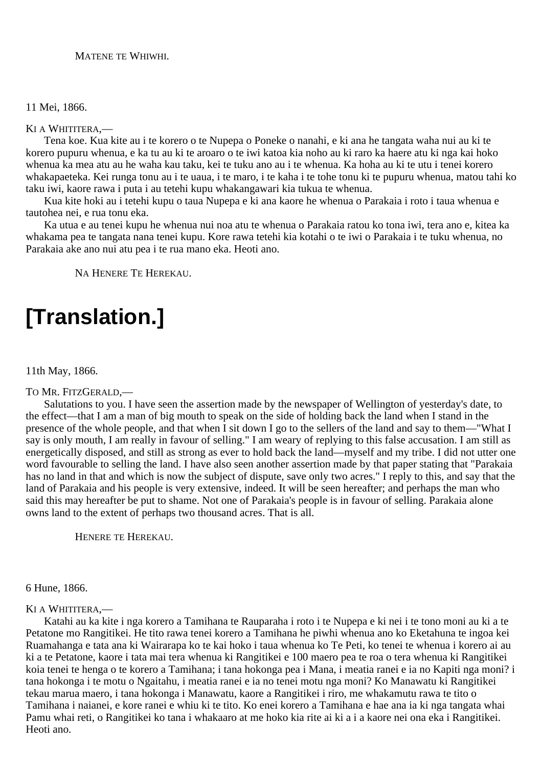### MATENE TE WHIWHI.

#### 11 Mei, 1866.

#### KI A WHITITERA,—

Tena koe. Kua kite au i te korero o te Nupepa o Poneke o nanahi, e ki ana he tangata waha nui au ki te korero pupuru whenua, e ka tu au ki te aroaro o te iwi katoa kia noho au ki raro ka haere atu ki nga kai hoko whenua ka mea atu au he waha kau taku, kei te tuku ano au i te whenua. Ka hoha au ki te utu i tenei korero whakapaeteka. Kei runga tonu au i te uaua, i te maro, i te kaha i te tohe tonu ki te pupuru whenua, matou tahi ko taku iwi, kaore rawa i puta i au tetehi kupu whakangawari kia tukua te whenua.

Kua kite hoki au i tetehi kupu o taua Nupepa e ki ana kaore he whenua o Parakaia i roto i taua whenua e tautohea nei, e rua tonu eka.

Ka utua e au tenei kupu he whenua nui noa atu te whenua o Parakaia ratou ko tona iwi, tera ano e, kitea ka whakama pea te tangata nana tenei kupu. Kore rawa tetehi kia kotahi o te iwi o Parakaia i te tuku whenua, no Parakaia ake ano nui atu pea i te rua mano eka. Heoti ano.

NA HENERE TE HEREKAU.

## **[Translation.]**

#### 11th May, 1866.

#### TO MR. FITZGERALD,—

Salutations to you. I have seen the assertion made by the newspaper of Wellington of yesterday's date, to the effect—that I am a man of big mouth to speak on the side of holding back the land when I stand in the presence of the whole people, and that when I sit down I go to the sellers of the land and say to them—"What I say is only mouth, I am really in favour of selling." I am weary of replying to this false accusation. I am still as energetically disposed, and still as strong as ever to hold back the land—myself and my tribe. I did not utter one word favourable to selling the land. I have also seen another assertion made by that paper stating that "Parakaia has no land in that and which is now the subject of dispute, save only two acres." I reply to this, and say that the land of Parakaia and his people is very extensive, indeed. It will be seen hereafter; and perhaps the man who said this may hereafter be put to shame. Not one of Parakaia's people is in favour of selling. Parakaia alone owns land to the extent of perhaps two thousand acres. That is all.

HENERE TE HEREKAU.

#### 6 Hune, 1866.

#### KI A WHITITERA,—

Katahi au ka kite i nga korero a Tamihana te Rauparaha i roto i te Nupepa e ki nei i te tono moni au ki a te Petatone mo Rangitikei. He tito rawa tenei korero a Tamihana he piwhi whenua ano ko Eketahuna te ingoa kei Ruamahanga e tata ana ki Wairarapa ko te kai hoko i taua whenua ko Te Peti, ko tenei te whenua i korero ai au ki a te Petatone, kaore i tata mai tera whenua ki Rangitikei e 100 maero pea te roa o tera whenua ki Rangitikei koia tenei te henga o te korero a Tamihana; i tana hokonga pea i Mana, i meatia ranei e ia no Kapiti nga moni? i tana hokonga i te motu o Ngaitahu, i meatia ranei e ia no tenei motu nga moni? Ko Manawatu ki Rangitikei tekau marua maero, i tana hokonga i Manawatu, kaore a Rangitikei i riro, me whakamutu rawa te tito o Tamihana i naianei, e kore ranei e whiu ki te tito. Ko enei korero a Tamihana e hae ana ia ki nga tangata whai Pamu whai reti, o Rangitikei ko tana i whakaaro at me hoko kia rite ai ki a i a kaore nei ona eka i Rangitikei. Heoti ano.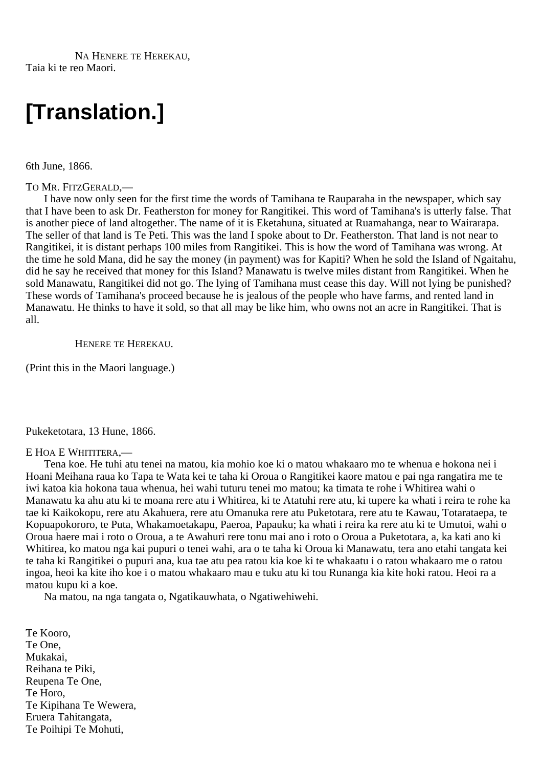NA HENERE TE HEREKAU, Taia ki te reo Maori.

## **[Translation.]**

6th June, 1866.

#### TO MR. FITZGERALD,—

I have now only seen for the first time the words of Tamihana te Rauparaha in the newspaper, which say that I have been to ask Dr. Featherston for money for Rangitikei. This word of Tamihana's is utterly false. That is another piece of land altogether. The name of it is Eketahuna, situated at Ruamahanga, near to Wairarapa. The seller of that land is Te Peti. This was the land I spoke about to Dr. Featherston. That land is not near to Rangitikei, it is distant perhaps 100 miles from Rangitikei. This is how the word of Tamihana was wrong. At the time he sold Mana, did he say the money (in payment) was for Kapiti? When he sold the Island of Ngaitahu, did he say he received that money for this Island? Manawatu is twelve miles distant from Rangitikei. When he sold Manawatu, Rangitikei did not go. The lying of Tamihana must cease this day. Will not lying be punished? These words of Tamihana's proceed because he is jealous of the people who have farms, and rented land in Manawatu. He thinks to have it sold, so that all may be like him, who owns not an acre in Rangitikei. That is all.

HENERE TE HEREKAU.

(Print this in the Maori language.)

Pukeketotara, 13 Hune, 1866.

#### E HOA E WHITITERA,—

Tena koe. He tuhi atu tenei na matou, kia mohio koe ki o matou whakaaro mo te whenua e hokona nei i Hoani Meihana raua ko Tapa te Wata kei te taha ki Oroua o Rangitikei kaore matou e pai nga rangatira me te iwi katoa kia hokona taua whenua, hei wahi tuturu tenei mo matou; ka timata te rohe i Whitirea wahi o Manawatu ka ahu atu ki te moana rere atu i Whitirea, ki te Atatuhi rere atu, ki tupere ka whati i reira te rohe ka tae ki Kaikokopu, rere atu Akahuera, rere atu Omanuka rere atu Puketotara, rere atu te Kawau, Totarataepa, te Kopuapokororo, te Puta, Whakamoetakapu, Paeroa, Papauku; ka whati i reira ka rere atu ki te Umutoi, wahi o Oroua haere mai i roto o Oroua, a te Awahuri rere tonu mai ano i roto o Oroua a Puketotara, a, ka kati ano ki Whitirea, ko matou nga kai pupuri o tenei wahi, ara o te taha ki Oroua ki Manawatu, tera ano etahi tangata kei te taha ki Rangitikei o pupuri ana, kua tae atu pea ratou kia koe ki te whakaatu i o ratou whakaaro me o ratou ingoa, heoi ka kite iho koe i o matou whakaaro mau e tuku atu ki tou Runanga kia kite hoki ratou. Heoi ra a matou kupu ki a koe.

Na matou, na nga tangata o, Ngatikauwhata, o Ngatiwehiwehi.

Te Kooro, Te One, Mukakai, Reihana te Piki, Reupena Te One, Te Horo, Te Kipihana Te Wewera, Eruera Tahitangata, Te Poihipi Te Mohuti,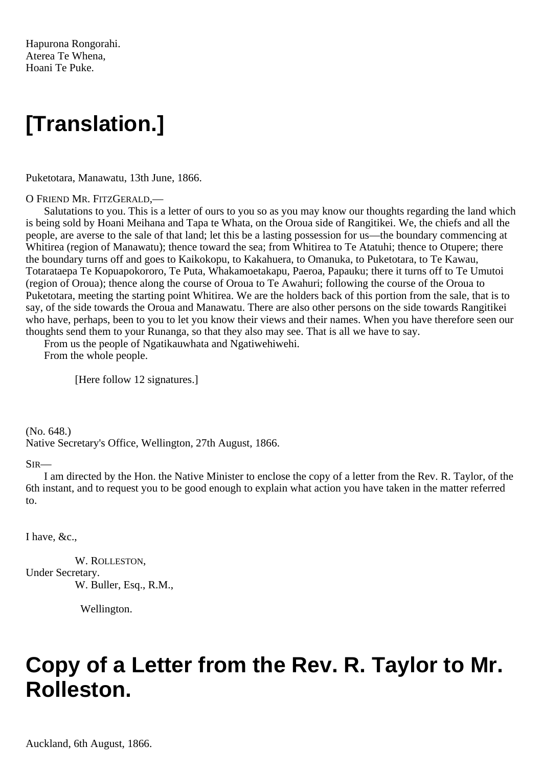Hapurona Rongorahi. Aterea Te Whena, Hoani Te Puke.

## **[Translation.]**

Puketotara, Manawatu, 13th June, 1866.

#### O FRIEND MR. FITZGERALD,—

Salutations to you. This is a letter of ours to you so as you may know our thoughts regarding the land which is being sold by Hoani Meihana and Tapa te Whata, on the Oroua side of Rangitikei. We, the chiefs and all the people, are averse to the sale of that land; let this be a lasting possession for us—the boundary commencing at Whitirea (region of Manawatu); thence toward the sea; from Whitirea to Te Atatuhi; thence to Otupere; there the boundary turns off and goes to Kaikokopu, to Kakahuera, to Omanuka, to Puketotara, to Te Kawau, Totarataepa Te Kopuapokororo, Te Puta, Whakamoetakapu, Paeroa, Papauku; there it turns off to Te Umutoi (region of Oroua); thence along the course of Oroua to Te Awahuri; following the course of the Oroua to Puketotara, meeting the starting point Whitirea. We are the holders back of this portion from the sale, that is to say, of the side towards the Oroua and Manawatu. There are also other persons on the side towards Rangitikei who have, perhaps, been to you to let you know their views and their names. When you have therefore seen our thoughts send them to your Runanga, so that they also may see. That is all we have to say.

From us the people of Ngatikauwhata and Ngatiwehiwehi. From the whole people.

[Here follow 12 signatures.]

(No. 648.) Native Secretary's Office, Wellington, 27th August, 1866.

#### SIR—

I am directed by the Hon. the Native Minister to enclose the copy of a letter from the Rev. R. Taylor, of the 6th instant, and to request you to be good enough to explain what action you have taken in the matter referred to.

I have, &c.,

W. ROLLESTON, Under Secretary. W. Buller, Esq., R.M.,

Wellington.

## **Copy of a Letter from the Rev. R. Taylor to Mr. Rolleston.**

Auckland, 6th August, 1866.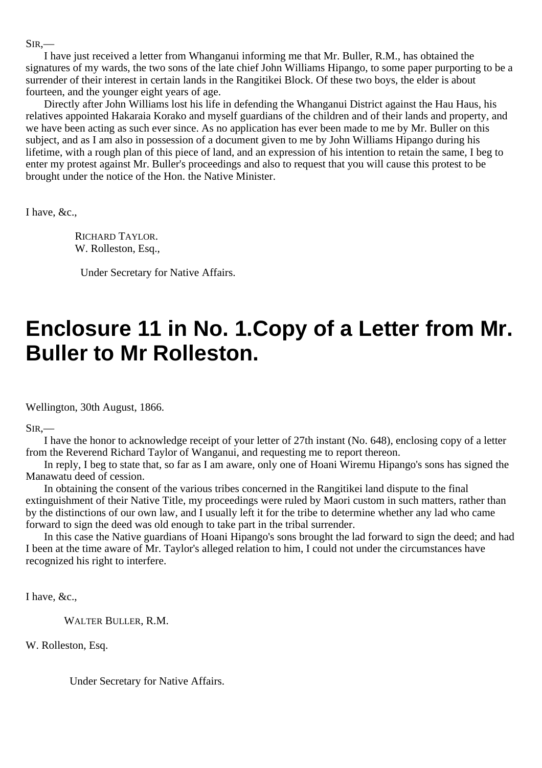$SIR$ .

I have just received a letter from Whanganui informing me that Mr. Buller, R.M., has obtained the signatures of my wards, the two sons of the late chief John Williams Hipango, to some paper purporting to be a surrender of their interest in certain lands in the Rangitikei Block. Of these two boys, the elder is about fourteen, and the younger eight years of age.

Directly after John Williams lost his life in defending the Whanganui District against the Hau Haus, his relatives appointed Hakaraia Korako and myself guardians of the children and of their lands and property, and we have been acting as such ever since. As no application has ever been made to me by Mr. Buller on this subject, and as I am also in possession of a document given to me by John Williams Hipango during his lifetime, with a rough plan of this piece of land, and an expression of his intention to retain the same, I beg to enter my protest against Mr. Buller's proceedings and also to request that you will cause this protest to be brought under the notice of the Hon. the Native Minister.

I have, &c.,

RICHARD TAYLOR. W. Rolleston, Esq.,

Under Secretary for Native Affairs.

## **Enclosure 11 in No. 1.Copy of a Letter from Mr. Buller to Mr Rolleston.**

Wellington, 30th August, 1866.

SIR,—

I have the honor to acknowledge receipt of your letter of 27th instant (No. 648), enclosing copy of a letter from the Reverend Richard Taylor of Wanganui, and requesting me to report thereon.

In reply, I beg to state that, so far as I am aware, only one of Hoani Wiremu Hipango's sons has signed the Manawatu deed of cession.

In obtaining the consent of the various tribes concerned in the Rangitikei land dispute to the final extinguishment of their Native Title, my proceedings were ruled by Maori custom in such matters, rather than by the distinctions of our own law, and I usually left it for the tribe to determine whether any lad who came forward to sign the deed was old enough to take part in the tribal surrender.

In this case the Native guardians of Hoani Hipango's sons brought the lad forward to sign the deed; and had I been at the time aware of Mr. Taylor's alleged relation to him, I could not under the circumstances have recognized his right to interfere.

I have, &c.,

WALTER BULLER, R.M.

W. Rolleston, Esq.

Under Secretary for Native Affairs.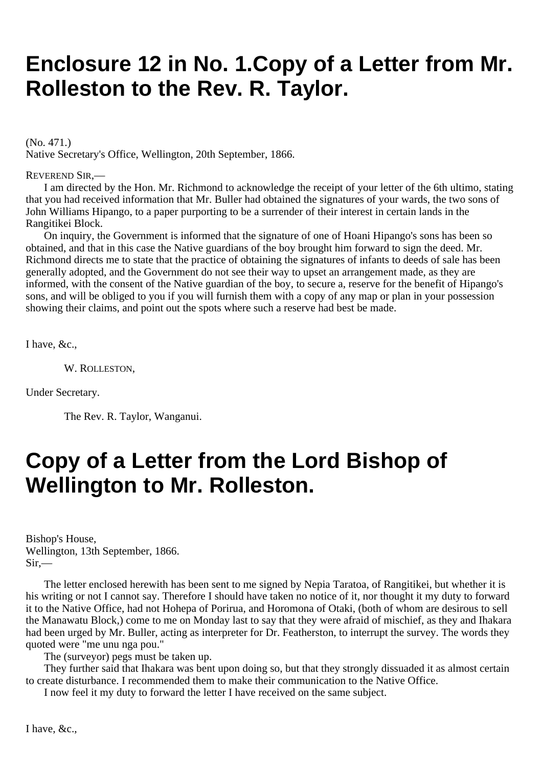## **Enclosure 12 in No. 1.Copy of a Letter from Mr. Rolleston to the Rev. R. Taylor.**

(No. 471.) Native Secretary's Office, Wellington, 20th September, 1866.

REVEREND SIR,—

I am directed by the Hon. Mr. Richmond to acknowledge the receipt of your letter of the 6th ultimo, stating that you had received information that Mr. Buller had obtained the signatures of your wards, the two sons of John Williams Hipango, to a paper purporting to be a surrender of their interest in certain lands in the Rangitikei Block.

On inquiry, the Government is informed that the signature of one of Hoani Hipango's sons has been so obtained, and that in this case the Native guardians of the boy brought him forward to sign the deed. Mr. Richmond directs me to state that the practice of obtaining the signatures of infants to deeds of sale has been generally adopted, and the Government do not see their way to upset an arrangement made, as they are informed, with the consent of the Native guardian of the boy, to secure a, reserve for the benefit of Hipango's sons, and will be obliged to you if you will furnish them with a copy of any map or plan in your possession showing their claims, and point out the spots where such a reserve had best be made.

I have, &c.,

W. ROLLESTON,

Under Secretary.

The Rev. R. Taylor, Wanganui.

## **Copy of a Letter from the Lord Bishop of Wellington to Mr. Rolleston.**

Bishop's House, Wellington, 13th September, 1866. Sir,—

The letter enclosed herewith has been sent to me signed by Nepia Taratoa, of Rangitikei, but whether it is his writing or not I cannot say. Therefore I should have taken no notice of it, nor thought it my duty to forward it to the Native Office, had not Hohepa of Porirua, and Horomona of Otaki, (both of whom are desirous to sell the Manawatu Block,) come to me on Monday last to say that they were afraid of mischief, as they and Ihakara had been urged by Mr. Buller, acting as interpreter for Dr. Featherston, to interrupt the survey. The words they quoted were "me unu nga pou."

The (surveyor) pegs must be taken up.

They further said that Ihakara was bent upon doing so, but that they strongly dissuaded it as almost certain to create disturbance. I recommended them to make their communication to the Native Office.

I now feel it my duty to forward the letter I have received on the same subject.

I have, &c.,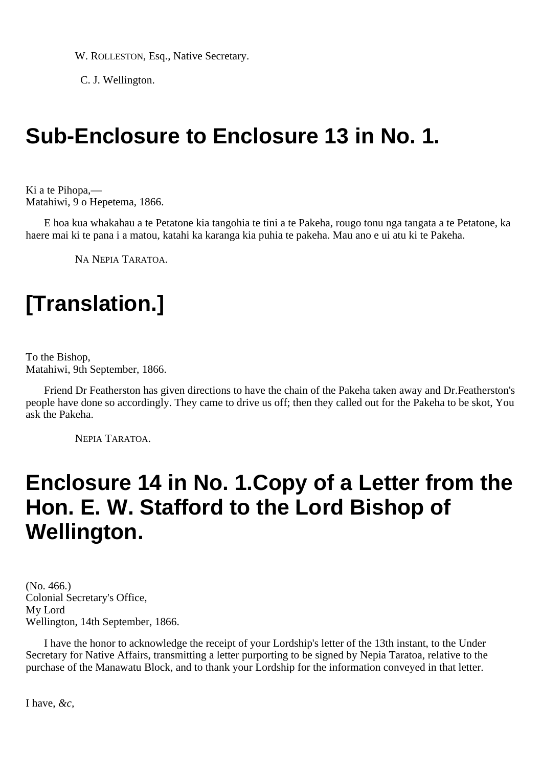W. ROLLESTON, Esq., Native Secretary.

C. J. Wellington.

## **Sub-Enclosure to Enclosure 13 in No. 1.**

Ki a te Pihopa,— Matahiwi, 9 o Hepetema, 1866.

E hoa kua whakahau a te Petatone kia tangohia te tini a te Pakeha, rougo tonu nga tangata a te Petatone, ka haere mai ki te pana i a matou, katahi ka karanga kia puhia te pakeha. Mau ano e ui atu ki te Pakeha.

NA NEPIA TARATOA.

# **[Translation.]**

To the Bishop, Matahiwi, 9th September, 1866.

Friend Dr Featherston has given directions to have the chain of the Pakeha taken away and Dr.Featherston's people have done so accordingly. They came to drive us off; then they called out for the Pakeha to be skot, You ask the Pakeha.

NEPIA TARATOA.

### **Enclosure 14 in No. 1.Copy of a Letter from the Hon. E. W. Stafford to the Lord Bishop of Wellington.**

(No. 466.) Colonial Secretary's Office, My Lord Wellington, 14th September, 1866.

I have the honor to acknowledge the receipt of your Lordship's letter of the 13th instant, to the Under Secretary for Native Affairs, transmitting a letter purporting to be signed by Nepia Taratoa, relative to the purchase of the Manawatu Block, and to thank your Lordship for the information conveyed in that letter.

I have, *&c,*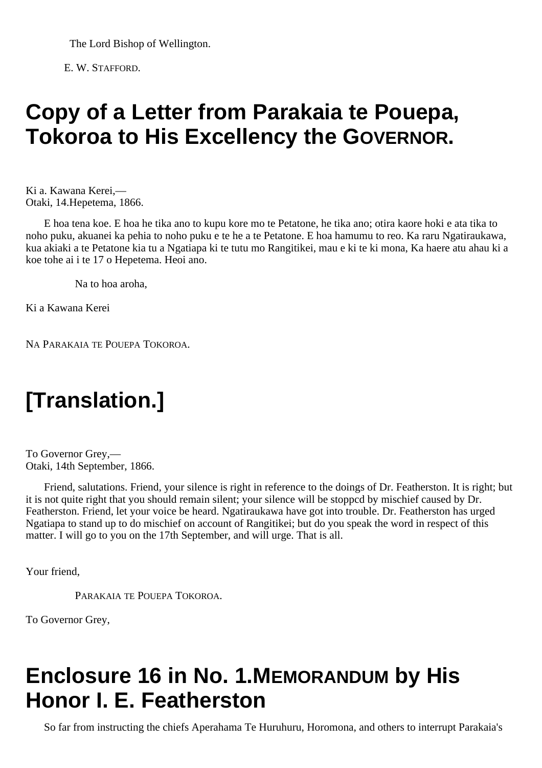The Lord Bishop of Wellington.

E. W. STAFFORD.

## **Copy of a Letter from Parakaia te Pouepa, Tokoroa to His Excellency the GOVERNOR.**

Ki a. Kawana Kerei,— Otaki, 14.Hepetema, 1866.

E hoa tena koe. E hoa he tika ano to kupu kore mo te Petatone, he tika ano; otira kaore hoki e ata tika to noho puku, akuanei ka pehia to noho puku e te he a te Petatone. E hoa hamumu to reo. Ka raru Ngatiraukawa, kua akiaki a te Petatone kia tu a Ngatiapa ki te tutu mo Rangitikei, mau e ki te ki mona, Ka haere atu ahau ki a koe tohe ai i te 17 o Hepetema. Heoi ano.

Na to hoa aroha,

Ki a Kawana Kerei

NA PARAKAIA TE POUEPA TOKOROA.

# **[Translation.]**

To Governor Grey,— Otaki, 14th September, 1866.

Friend, salutations. Friend, your silence is right in reference to the doings of Dr. Featherston. It is right; but it is not quite right that you should remain silent; your silence will be stoppcd by mischief caused by Dr. Featherston. Friend, let your voice be heard. Ngatiraukawa have got into trouble. Dr. Featherston has urged Ngatiapa to stand up to do mischief on account of Rangitikei; but do you speak the word in respect of this matter. I will go to you on the 17th September, and will urge. That is all.

Your friend,

PARAKAIA TE POUEPA TOKOROA

To Governor Grey,

## **Enclosure 16 in No. 1.MEMORANDUM by His Honor I. E. Featherston**

So far from instructing the chiefs Aperahama Te Huruhuru, Horomona, and others to interrupt Parakaia's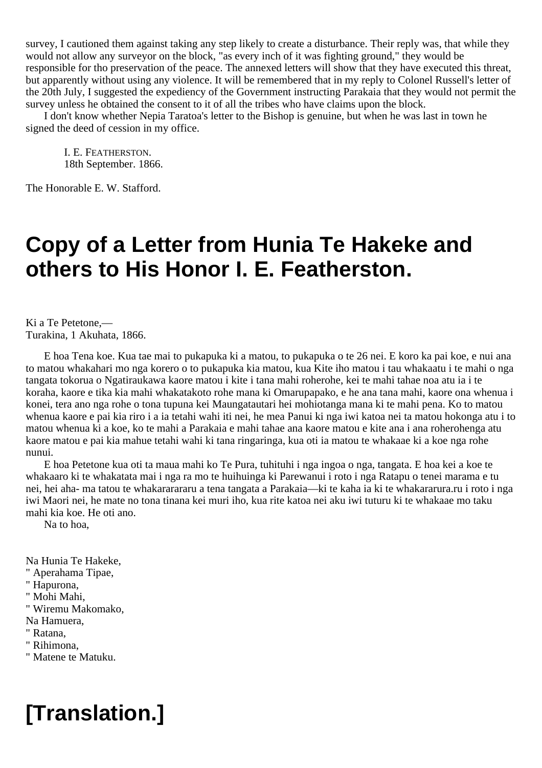survey, I cautioned them against taking any step likely to create a disturbance. Their reply was, that while they would not allow any surveyor on the block, "as every inch of it was fighting ground," they would be responsible for tho preservation of the peace. The annexed letters will show that they have executed this threat, but apparently without using any violence. It will be remembered that in my reply to Colonel Russell's letter of the 20th July, I suggested the expediency of the Government instructing Parakaia that they would not permit the survey unless he obtained the consent to it of all the tribes who have claims upon the block.

I don't know whether Nepia Taratoa's letter to the Bishop is genuine, but when he was last in town he signed the deed of cession in my office.

I. E. FEATHERSTON. 18th September. 1866.

The Honorable E. W. Stafford.

### **Copy of a Letter from Hunia Te Hakeke and others to His Honor I. E. Featherston.**

Ki a Te Petetone,— Turakina, 1 Akuhata, 1866.

E hoa Tena koe. Kua tae mai to pukapuka ki a matou, to pukapuka o te 26 nei. E koro ka pai koe, e nui ana to matou whakahari mo nga korero o to pukapuka kia matou, kua Kite iho matou i tau whakaatu i te mahi o nga tangata tokorua o Ngatiraukawa kaore matou i kite i tana mahi roherohe, kei te mahi tahae noa atu ia i te koraha, kaore e tika kia mahi whakatakoto rohe mana ki Omarupapako, e he ana tana mahi, kaore ona whenua i konei, tera ano nga rohe o tona tupuna kei Maungatautari hei mohiotanga mana ki te mahi pena. Ko to matou whenua kaore e pai kia riro i a ia tetahi wahi iti nei, he mea Panui ki nga iwi katoa nei ta matou hokonga atu i to matou whenua ki a koe, ko te mahi a Parakaia e mahi tahae ana kaore matou e kite ana i ana roherohenga atu kaore matou e pai kia mahue tetahi wahi ki tana ringaringa, kua oti ia matou te whakaae ki a koe nga rohe nunui.

E hoa Petetone kua oti ta maua mahi ko Te Pura, tuhituhi i nga ingoa o nga, tangata. E hoa kei a koe te whakaaro ki te whakatata mai i nga ra mo te huihuinga ki Parewanui i roto i nga Ratapu o tenei marama e tu nei, hei aha- ma tatou te whakararararu a tena tangata a Parakaia—ki te kaha ia ki te whakararura.ru i roto i nga iwi Maori nei, he mate no tona tinana kei muri iho, kua rite katoa nei aku iwi tuturu ki te whakaae mo taku mahi kia koe. He oti ano.

Na to hoa,

Na Hunia Te Hakeke,

" Aperahama Tipae,

" Hapurona,

" Mohi Mahi,

" Wiremu Makomako,

Na Hamuera,

" Ratana,

" Rihimona,

" Matene te Matuku.

# **[Translation.]**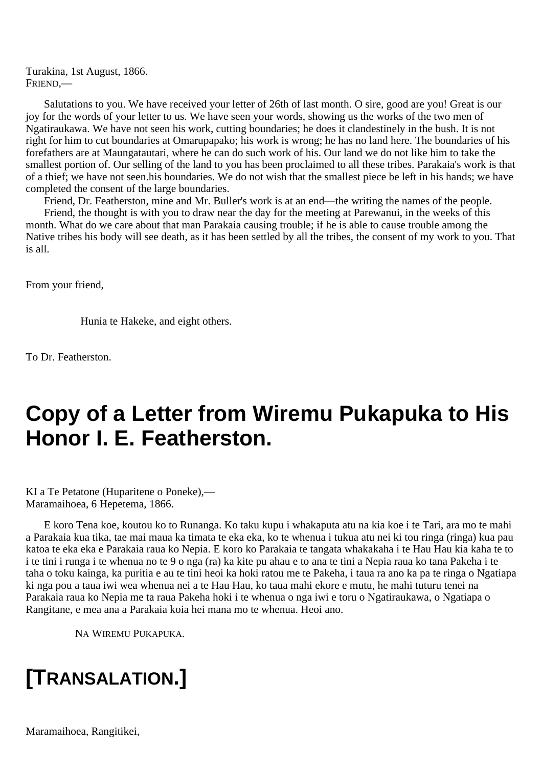Turakina, 1st August, 1866. FRIEND,—

Salutations to you. We have received your letter of 26th of last month. O sire, good are you! Great is our joy for the words of your letter to us. We have seen your words, showing us the works of the two men of Ngatiraukawa. We have not seen his work, cutting boundaries; he does it clandestinely in the bush. It is not right for him to cut boundaries at Omarupapako; his work is wrong; he has no land here. The boundaries of his forefathers are at Maungatautari, where he can do such work of his. Our land we do not like him to take the smallest portion of. Our selling of the land to you has been proclaimed to all these tribes. Parakaia's work is that of a thief; we have not seen.his boundaries. We do not wish that the smallest piece be left in his hands; we have completed the consent of the large boundaries.

Friend, Dr. Featherston, mine and Mr. Buller's work is at an end—the writing the names of the people.

Friend, the thought is with you to draw near the day for the meeting at Parewanui, in the weeks of this month. What do we care about that man Parakaia causing trouble; if he is able to cause trouble among the Native tribes his body will see death, as it has been settled by all the tribes, the consent of my work to you. That is all.

From your friend,

Hunia te Hakeke, and eight others.

To Dr. Featherston.

### **Copy of a Letter from Wiremu Pukapuka to His Honor I. E. Featherston.**

KI a Te Petatone (Huparitene o Poneke),— Maramaihoea, 6 Hepetema, 1866.

E koro Tena koe, koutou ko to Runanga. Ko taku kupu i whakaputa atu na kia koe i te Tari, ara mo te mahi a Parakaia kua tika, tae mai maua ka timata te eka eka, ko te whenua i tukua atu nei ki tou ringa (ringa) kua pau katoa te eka eka e Parakaia raua ko Nepia. E koro ko Parakaia te tangata whakakaha i te Hau Hau kia kaha te to i te tini i runga i te whenua no te 9 o nga (ra) ka kite pu ahau e to ana te tini a Nepia raua ko tana Pakeha i te taha o toku kainga, ka puritia e au te tini heoi ka hoki ratou me te Pakeha, i taua ra ano ka pa te ringa o Ngatiapa ki nga pou a taua iwi wea whenua nei a te Hau Hau, ko taua mahi ekore e mutu, he mahi tuturu tenei na Parakaia raua ko Nepia me ta raua Pakeha hoki i te whenua o nga iwi e toru o Ngatiraukawa, o Ngatiapa o Rangitane, e mea ana a Parakaia koia hei mana mo te whenua. Heoi ano.

NA WIREMU PUKAPUKA.

# **[TRANSALATION.]**

Maramaihoea, Rangitikei,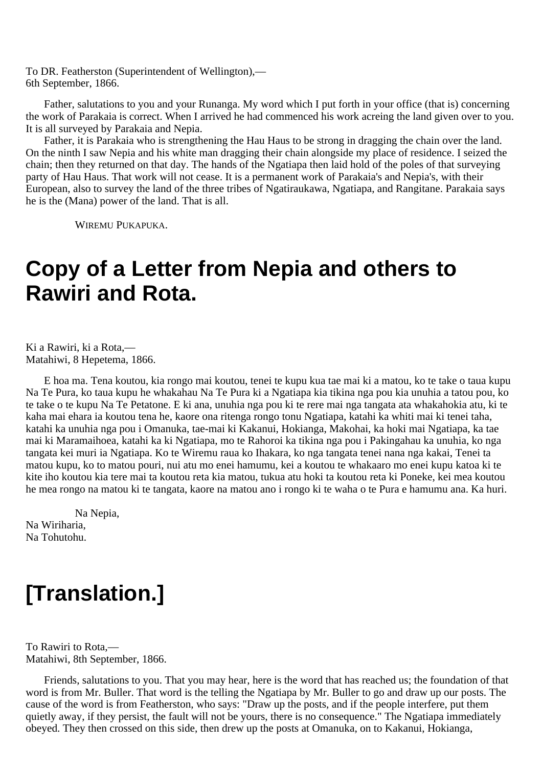To DR. Featherston (Superintendent of Wellington),— 6th September, 1866.

Father, salutations to you and your Runanga. My word which I put forth in your office (that is) concerning the work of Parakaia is correct. When I arrived he had commenced his work acreing the land given over to you. It is all surveyed by Parakaia and Nepia.

Father, it is Parakaia who is strengthening the Hau Haus to be strong in dragging the chain over the land. On the ninth I saw Nepia and his white man dragging their chain alongside my place of residence. I seized the chain; then they returned on that day. The hands of the Ngatiapa then laid hold of the poles of that surveying party of Hau Haus. That work will not cease. It is a permanent work of Parakaia's and Nepia's, with their European, also to survey the land of the three tribes of Ngatiraukawa, Ngatiapa, and Rangitane. Parakaia says he is the (Mana) power of the land. That is all.

WIREMU PUKAPUKA.

### **Copy of a Letter from Nepia and others to Rawiri and Rota.**

Ki a Rawiri, ki a Rota,— Matahiwi, 8 Hepetema, 1866.

E hoa ma. Tena koutou, kia rongo mai koutou, tenei te kupu kua tae mai ki a matou, ko te take o taua kupu Na Te Pura, ko taua kupu he whakahau Na Te Pura ki a Ngatiapa kia tikina nga pou kia unuhia a tatou pou, ko te take o te kupu Na Te Petatone. E ki ana, unuhia nga pou ki te rere mai nga tangata ata whakahokia atu, ki te kaha mai ehara ia koutou tena he, kaore ona ritenga rongo tonu Ngatiapa, katahi ka whiti mai ki tenei taha, katahi ka unuhia nga pou i Omanuka, tae-mai ki Kakanui, Hokianga, Makohai, ka hoki mai Ngatiapa, ka tae mai ki Maramaihoea, katahi ka ki Ngatiapa, mo te Rahoroi ka tikina nga pou i Pakingahau ka unuhia, ko nga tangata kei muri ia Ngatiapa. Ko te Wiremu raua ko Ihakara, ko nga tangata tenei nana nga kakai, Tenei ta matou kupu, ko to matou pouri, nui atu mo enei hamumu, kei a koutou te whakaaro mo enei kupu katoa ki te kite iho koutou kia tere mai ta koutou reta kia matou, tukua atu hoki ta koutou reta ki Poneke, kei mea koutou he mea rongo na matou ki te tangata, kaore na matou ano i rongo ki te waha o te Pura e hamumu ana. Ka huri.

Na Nepia, Na Wiriharia, Na Tohutohu.

# **[Translation.]**

To Rawiri to Rota,— Matahiwi, 8th September, 1866.

Friends, salutations to you. That you may hear, here is the word that has reached us; the foundation of that word is from Mr. Buller. That word is the telling the Ngatiapa by Mr. Buller to go and draw up our posts. The cause of the word is from Featherston, who says: "Draw up the posts, and if the people interfere, put them quietly away, if they persist, the fault will not be yours, there is no consequence." The Ngatiapa immediately obeyed. They then crossed on this side, then drew up the posts at Omanuka, on to Kakanui, Hokianga,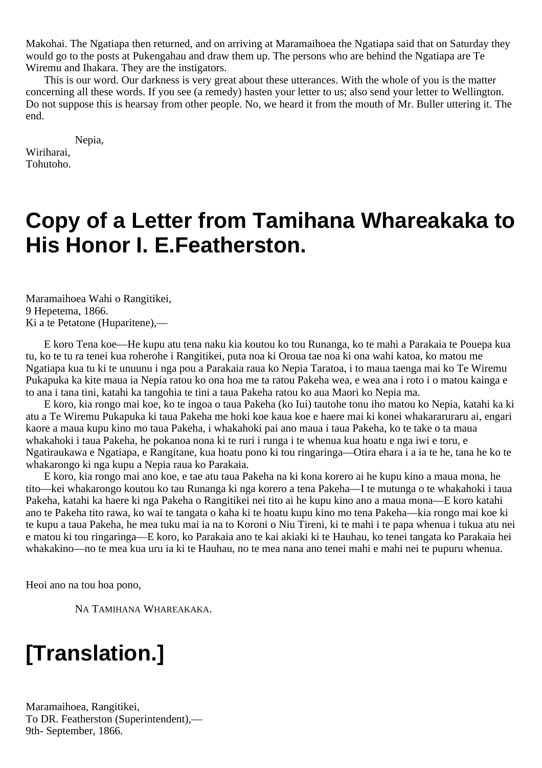Makohai. The Ngatiapa then returned, and on arriving at Maramaihoea the Ngatiapa said that on Saturday they would go to the posts at Pukengahau and draw them up. The persons who are behind the Ngatiapa are Te Wiremu and Ihakara. They are the instigators.

This is our word. Our darkness is very great about these utterances. With the whole of you is the matter concerning all these words. If you see (a remedy) hasten your letter to us; also send your letter to Wellington. Do not suppose this is hearsay from other people. No, we heard it from the mouth of Mr. Buller uttering it. The end.

Nepia,

Wiriharai, Tohutoho.

### **Copy of a Letter from Tamihana Whareakaka to His Honor I. E.Featherston.**

Maramaihoea Wahi o Rangitikei, 9 Hepetema, 1866. Ki a te Petatone (Huparitene),—

E koro Tena koe—He kupu atu tena naku kia koutou ko tou Runanga, ko te mahi a Parakaia te Pouepa kua tu, ko te tu ra tenei kua roherohe i Rangitikei, puta noa ki Oroua tae noa ki ona wahi katoa, ko matou me Ngatiapa kua tu ki te unuunu i nga pou a Parakaia raua ko Nepia Taratoa, i to maua taenga mai ko Te Wiremu Pukapuka ka kite maua ia Nepia ratou ko ona hoa me ta ratou Pakeha wea, e wea ana i roto i o matou kainga e to ana i tana tini, katahi ka tangohia te tini a taua Pakeha ratou ko aua Maori ko Nepia ma.

E koro, kia rongo mai koe, ko te ingoa o taua Pakeha (ko Iui) tautohe tonu iho matou ko Nepia, katahi ka ki atu a Te Wiremu Pukapuka ki taua Pakeha me hoki koe kaua koe e haere mai ki konei whakararuraru ai, engari kaore a maua kupu kino mo taua Pakeha, i whakahoki pai ano maua i taua Pakeha, ko te take o ta maua whakahoki i taua Pakeha, he pokanoa nona ki te ruri i runga i te whenua kua hoatu e nga iwi e toru, e Ngatiraukawa e Ngatiapa, e Rangitane, kua hoatu pono ki tou ringaringa—Otira ehara i a ia te he, tana he ko te whakarongo ki nga kupu a Nepia raua ko Parakaia.

E koro, kia rongo mai ano koe, e tae atu taua Pakeha na ki kona korero ai he kupu kino a maua mona, he tito—kei whakarongo koutou ko tau Runanga ki nga korero a tena Pakeha—I te mutunga o te whakahoki i taua Pakeha, katahi ka haere ki nga Pakeha o Rangitikei nei tito ai he kupu kino ano a maua mona—E koro katahi ano te Pakeha tito rawa, ko wai te tangata o kaha ki te hoatu kupu kino mo tena Pakeha—kia rongo mai koe ki te kupu a taua Pakeha, he mea tuku mai ia na to Koroni o Niu Tireni, ki te mahi i te papa whenua i tukua atu nei e matou ki tou ringaringa—E koro, ko Parakaia ano te kai akiaki ki te Hauhau, ko tenei tangata ko Parakaia hei whakakino—no te mea kua uru ia ki te Hauhau, no te mea nana ano tenei mahi e mahi nei te pupuru whenua.

Heoi ano na tou hoa pono,

NA TAMIHANA WHAREAKAKA.

# **[Translation.]**

Maramaihoea, Rangitikei, To DR. Featherston (Superintendent),— 9th- September, 1866.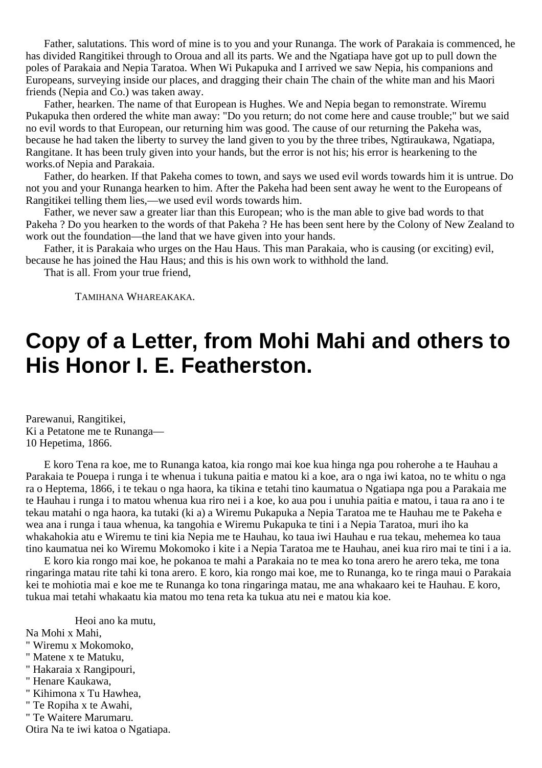Father, salutations. This word of mine is to you and your Runanga. The work of Parakaia is commenced, he has divided Rangitikei through to Oroua and all its parts. We and the Ngatiapa have got up to pull down the poles of Parakaia and Nepia Taratoa. When Wi Pukapuka and I arrived we saw Nepia, his companions and Europeans, surveying inside our places, and dragging their chain The chain of the white man and his Maori friends (Nepia and Co.) was taken away.

Father, hearken. The name of that European is Hughes. We and Nepia began to remonstrate. Wiremu Pukapuka then ordered the white man away: "Do you return; do not come here and cause trouble;" but we said no evil words to that European, our returning him was good. The cause of our returning the Pakeha was, because he had taken the liberty to survey the land given to you by the three tribes, Ngtiraukawa, Ngatiapa, Rangitane. It has been truly given into your hands, but the error is not his; his error is hearkening to the works.of Nepia and Parakaia.

Father, do hearken. If that Pakeha comes to town, and says we used evil words towards him it is untrue. Do not you and your Runanga hearken to him. After the Pakeha had been sent away he went to the Europeans of Rangitikei telling them lies,—we used evil words towards him.

Father, we never saw a greater liar than this European; who is the man able to give bad words to that Pakeha ? Do you hearken to the words of that Pakeha ? He has been sent here by the Colony of New Zealand to work out the foundation—the land that we have given into your hands.

Father, it is Parakaia who urges on the Hau Haus. This man Parakaia, who is causing (or exciting) evil, because he has joined the Hau Haus; and this is his own work to withhold the land.

That is all. From your true friend,

TAMIHANA WHAREAKAKA.

### **Copy of a Letter, from Mohi Mahi and others to His Honor I. E. Featherston.**

Parewanui, Rangitikei, Ki a Petatone me te Runanga— 10 Hepetima, 1866.

E koro Tena ra koe, me to Runanga katoa, kia rongo mai koe kua hinga nga pou roherohe a te Hauhau a Parakaia te Pouepa i runga i te whenua i tukuna paitia e matou ki a koe, ara o nga iwi katoa, no te whitu o nga ra o Heptema, 1866, i te tekau o nga haora, ka tikina e tetahi tino kaumatua o Ngatiapa nga pou a Parakaia me te Hauhau i runga i to matou whenua kua riro nei i a koe, ko aua pou i unuhia paitia e matou, i taua ra ano i te tekau matahi o nga haora, ka tutaki (ki a) a Wiremu Pukapuka a Nepia Taratoa me te Hauhau me te Pakeha e wea ana i runga i taua whenua, ka tangohia e Wiremu Pukapuka te tini i a Nepia Taratoa, muri iho ka whakahokia atu e Wiremu te tini kia Nepia me te Hauhau, ko taua iwi Hauhau e rua tekau, mehemea ko taua tino kaumatua nei ko Wiremu Mokomoko i kite i a Nepia Taratoa me te Hauhau, anei kua riro mai te tini i a ia.

E koro kia rongo mai koe, he pokanoa te mahi a Parakaia no te mea ko tona arero he arero teka, me tona ringaringa matau rite tahi ki tona arero. E koro, kia rongo mai koe, me to Runanga, ko te ringa maui o Parakaia kei te mohiotia mai e koe me te Runanga ko tona ringaringa matau, me ana whakaaro kei te Hauhau. E koro, tukua mai tetahi whakaatu kia matou mo tena reta ka tukua atu nei e matou kia koe.

Heoi ano ka mutu,

Na Mohi x Mahi,

- " Wiremu x Mokomoko,
- " Matene x te Matuku,
- " Hakaraia x Rangipouri,
- " Henare Kaukawa,
- " Kihimona x Tu Hawhea,
- " Te Ropiha x te Awahi,
- " Te Waitere Marumaru.

Otira Na te iwi katoa o Ngatiapa.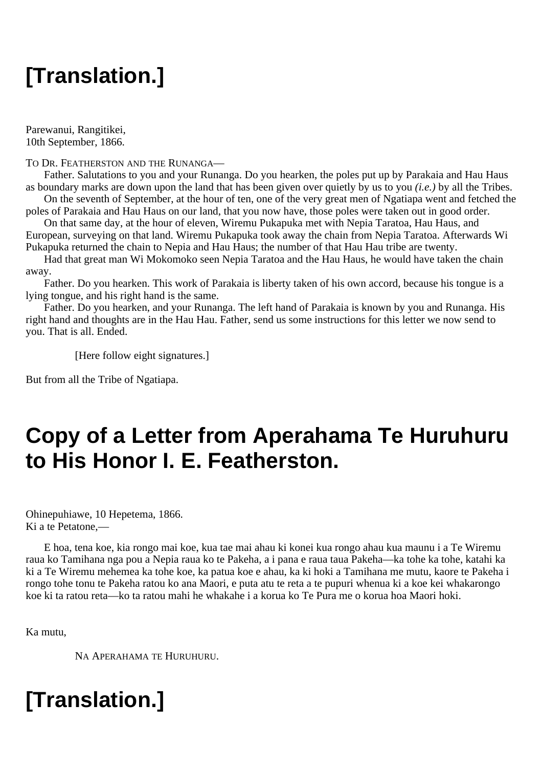# **[Translation.]**

Parewanui, Rangitikei, 10th September, 1866.

### TO DR. FEATHERSTON AND THE RUNANGA—

Father. Salutations to you and your Runanga. Do you hearken, the poles put up by Parakaia and Hau Haus as boundary marks are down upon the land that has been given over quietly by us to you *(i.e.)* by all the Tribes.

On the seventh of September, at the hour of ten, one of the very great men of Ngatiapa went and fetched the poles of Parakaia and Hau Haus on our land, that you now have, those poles were taken out in good order.

On that same day, at the hour of eleven, Wiremu Pukapuka met with Nepia Taratoa, Hau Haus, and European, surveying on that land. Wiremu Pukapuka took away the chain from Nepia Taratoa. Afterwards Wi Pukapuka returned the chain to Nepia and Hau Haus; the number of that Hau Hau tribe are twenty.

Had that great man Wi Mokomoko seen Nepia Taratoa and the Hau Haus, he would have taken the chain away.

Father. Do you hearken. This work of Parakaia is liberty taken of his own accord, because his tongue is a lying tongue, and his right hand is the same.

Father. Do you hearken, and your Runanga. The left hand of Parakaia is known by you and Runanga. His right hand and thoughts are in the Hau Hau. Father, send us some instructions for this letter we now send to you. That is all. Ended.

[Here follow eight signatures.]

But from all the Tribe of Ngatiapa.

## **Copy of a Letter from Aperahama Te Huruhuru to His Honor I. E. Featherston.**

Ohinepuhiawe, 10 Hepetema, 1866. Ki a te Petatone,—

E hoa, tena koe, kia rongo mai koe, kua tae mai ahau ki konei kua rongo ahau kua maunu i a Te Wiremu raua ko Tamihana nga pou a Nepia raua ko te Pakeha, a i pana e raua taua Pakeha—ka tohe ka tohe, katahi ka ki a Te Wiremu mehemea ka tohe koe, ka patua koe e ahau, ka ki hoki a Tamihana me mutu, kaore te Pakeha i rongo tohe tonu te Pakeha ratou ko ana Maori, e puta atu te reta a te pupuri whenua ki a koe kei whakarongo koe ki ta ratou reta—ko ta ratou mahi he whakahe i a korua ko Te Pura me o korua hoa Maori hoki.

Ka mutu,

NA APERAHAMA TE HURUHURU.

# **[Translation.]**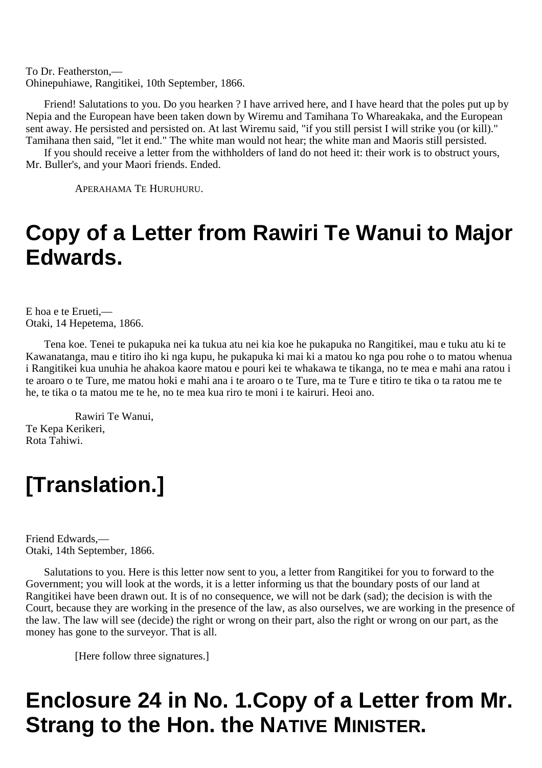To Dr. Featherston,— Ohinepuhiawe, Rangitikei, 10th September, 1866.

Friend! Salutations to you. Do you hearken ? I have arrived here, and I have heard that the poles put up by Nepia and the European have been taken down by Wiremu and Tamihana To Whareakaka, and the European sent away. He persisted and persisted on. At last Wiremu said, "if you still persist I will strike you (or kill)." Tamihana then said, "let it end." The white man would not hear; the white man and Maoris still persisted.

If you should receive a letter from the withholders of land do not heed it: their work is to obstruct yours, Mr. Buller's, and your Maori friends. Ended.

APERAHAMA TE HURUHURU.

## **Copy of a Letter from Rawiri Te Wanui to Major Edwards.**

E hoa e te Erueti,— Otaki, 14 Hepetema, 1866.

Tena koe. Tenei te pukapuka nei ka tukua atu nei kia koe he pukapuka no Rangitikei, mau e tuku atu ki te Kawanatanga, mau e titiro iho ki nga kupu, he pukapuka ki mai ki a matou ko nga pou rohe o to matou whenua i Rangitikei kua unuhia he ahakoa kaore matou e pouri kei te whakawa te tikanga, no te mea e mahi ana ratou i te aroaro o te Ture, me matou hoki e mahi ana i te aroaro o te Ture, ma te Ture e titiro te tika o ta ratou me te he, te tika o ta matou me te he, no te mea kua riro te moni i te kairuri. Heoi ano.

Rawiri Te Wanui, Te Kepa Kerikeri, Rota Tahiwi.

# **[Translation.]**

Friend Edwards,— Otaki, 14th September, 1866.

Salutations to you. Here is this letter now sent to you, a letter from Rangitikei for you to forward to the Government; you will look at the words, it is a letter informing us that the boundary posts of our land at Rangitikei have been drawn out. It is of no consequence, we will not be dark (sad); the decision is with the Court, because they are working in the presence of the law, as also ourselves, we are working in the presence of the law. The law will see (decide) the right or wrong on their part, also the right or wrong on our part, as the money has gone to the surveyor. That is all.

[Here follow three signatures.]

# **Enclosure 24 in No. 1.Copy of a Letter from Mr. Strang to the Hon. the NATIVE MINISTER.**